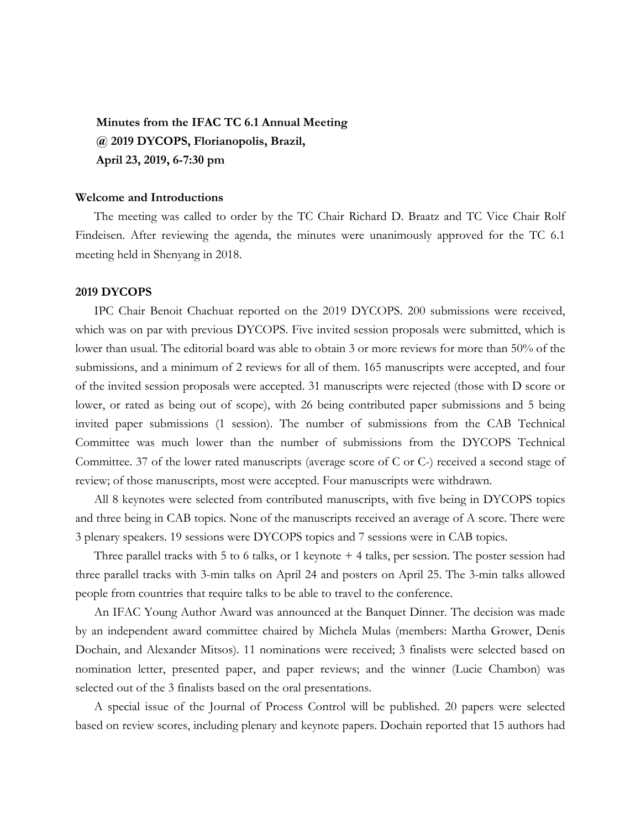**Minutes from the IFAC TC 6.1 Annual Meeting @ 2019 DYCOPS, Florianopolis, Brazil, April 23, 2019, 6-7:30 pm**

## **Welcome and Introductions**

The meeting was called to order by the TC Chair Richard D. Braatz and TC Vice Chair Rolf Findeisen. After reviewing the agenda, the minutes were unanimously approved for the TC 6.1 meeting held in Shenyang in 2018.

#### **2019 DYCOPS**

IPC Chair Benoit Chachuat reported on the 2019 DYCOPS. 200 submissions were received, which was on par with previous DYCOPS. Five invited session proposals were submitted, which is lower than usual. The editorial board was able to obtain 3 or more reviews for more than 50% of the submissions, and a minimum of 2 reviews for all of them. 165 manuscripts were accepted, and four of the invited session proposals were accepted. 31 manuscripts were rejected (those with D score or lower, or rated as being out of scope), with 26 being contributed paper submissions and 5 being invited paper submissions (1 session). The number of submissions from the CAB Technical Committee was much lower than the number of submissions from the DYCOPS Technical Committee. 37 of the lower rated manuscripts (average score of C or C-) received a second stage of review; of those manuscripts, most were accepted. Four manuscripts were withdrawn.

All 8 keynotes were selected from contributed manuscripts, with five being in DYCOPS topics and three being in CAB topics. None of the manuscripts received an average of A score. There were 3 plenary speakers. 19 sessions were DYCOPS topics and 7 sessions were in CAB topics.

Three parallel tracks with 5 to 6 talks, or 1 keynote + 4 talks, per session. The poster session had three parallel tracks with 3-min talks on April 24 and posters on April 25. The 3-min talks allowed people from countries that require talks to be able to travel to the conference.

An IFAC Young Author Award was announced at the Banquet Dinner. The decision was made by an independent award committee chaired by Michela Mulas (members: Martha Grower, Denis Dochain, and Alexander Mitsos). 11 nominations were received; 3 finalists were selected based on nomination letter, presented paper, and paper reviews; and the winner (Lucie Chambon) was selected out of the 3 finalists based on the oral presentations.

A special issue of the Journal of Process Control will be published. 20 papers were selected based on review scores, including plenary and keynote papers. Dochain reported that 15 authors had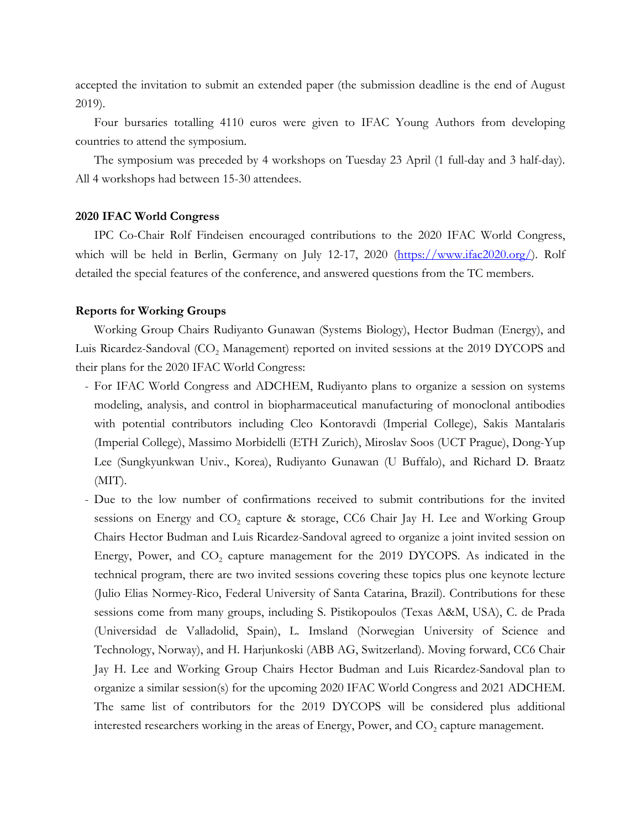accepted the invitation to submit an extended paper (the submission deadline is the end of August 2019).

Four bursaries totalling 4110 euros were given to IFAC Young Authors from developing countries to attend the symposium.

The symposium was preceded by 4 workshops on Tuesday 23 April (1 full-day and 3 half-day). All 4 workshops had between 15-30 attendees.

#### **2020 IFAC World Congress**

IPC Co-Chair Rolf Findeisen encouraged contributions to the 2020 IFAC World Congress, which will be held in Berlin, Germany on July 12-17, 2020 [\(https://www.ifac2020.org/\)](https://www.ifac2020.org/). Rolf detailed the special features of the conference, and answered questions from the TC members.

# **Reports for Working Groups**

Working Group Chairs Rudiyanto Gunawan (Systems Biology), Hector Budman (Energy), and Luis Ricardez-Sandoval (CO<sub>2</sub> Management) reported on invited sessions at the 2019 DYCOPS and their plans for the 2020 IFAC World Congress:

- For IFAC World Congress and ADCHEM, Rudiyanto plans to organize a session on systems modeling, analysis, and control in biopharmaceutical manufacturing of monoclonal antibodies with potential contributors including Cleo Kontoravdi (Imperial College), Sakis Mantalaris (Imperial College), Massimo Morbidelli (ETH Zurich), Miroslav Soos (UCT Prague), Dong-Yup Lee (Sungkyunkwan Univ., Korea), Rudiyanto Gunawan (U Buffalo), and Richard D. Braatz  $(MIT)$ .
- Due to the low number of confirmations received to submit contributions for the invited sessions on Energy and  $CO<sub>2</sub>$  capture & storage, CC6 Chair Jay H. Lee and Working Group Chairs Hector Budman and Luis Ricardez-Sandoval agreed to organize a joint invited session on Energy, Power, and  $CO<sub>2</sub>$  capture management for the 2019 DYCOPS. As indicated in the technical program, there are two invited sessions covering these topics plus one keynote lecture (Julio Elias Normey-Rico, Federal University of Santa Catarina, Brazil). Contributions for these sessions come from many groups, including S. Pistikopoulos (Texas A&M, USA), C. de Prada (Universidad de Valladolid, Spain), L. Imsland (Norwegian University of Science and Technology, Norway), and H. Harjunkoski (ABB AG, Switzerland). Moving forward, CC6 Chair Jay H. Lee and Working Group Chairs Hector Budman and Luis Ricardez-Sandoval plan to organize a similar session(s) for the upcoming 2020 IFAC World Congress and 2021 ADCHEM. The same list of contributors for the 2019 DYCOPS will be considered plus additional interested researchers working in the areas of Energy, Power, and  $CO<sub>2</sub>$  capture management.